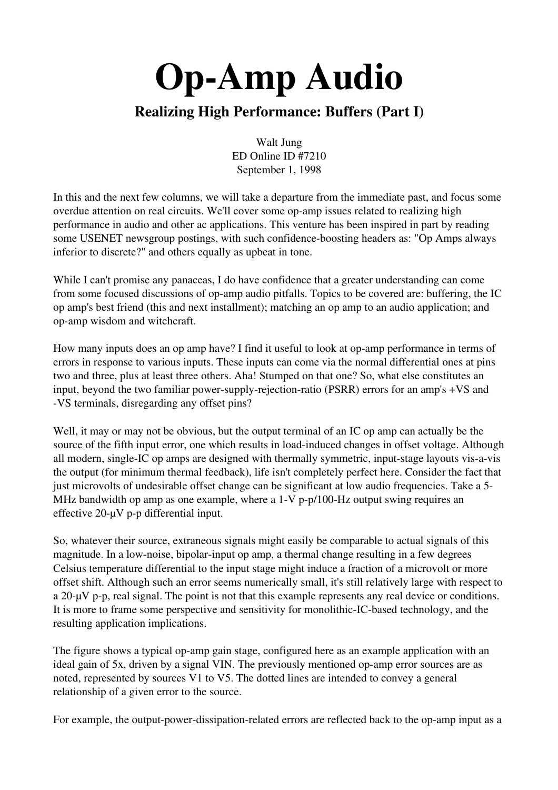## Realizing High Performance: Buffers (Part I)

Walt Jung ED Online ID #7210 September 1, 1998

In this and the next few columns, we will take a departure from the immediate past, and focus some overdue attention on real circuits. We'll cover some op-amp issues related to realizing high performance in audio and other ac applications. This venture has been inspired in part by reading some USENET newsgroup postings, with such confidence-boosting headers as: "Op Amps always inferior to discrete?" and others equally as upbeat in tone.

While I can't promise any panaceas, I do have confidence that a greater understanding can come from some focused discussions of op-amp audio pitfalls. Topics to be covered are: buffering, the IC op amp's best friend (this and next installment); matching an op amp to an audio application; and opamp wisdom and witchcraft.

How many inputs does an op amp have? I find it useful to look at op-amp performance in terms of errors in response to various inputs. These inputs can come via the normal differential ones at pins two and three, plus at least three others. Aha! Stumped on that one? So, what else constitutes an input, beyond the two familiar power-supply-rejection-ratio (PSRR) errors for an amp's  $+VS$  and VS terminals, disregarding any offset pins?

Well, it may or may not be obvious, but the output terminal of an IC op amp can actually be the source of the fifth input error, one which results in load-induced changes in offset voltage. Although all modern, single-IC op amps are designed with thermally symmetric, input-stage layouts vis-a-vis the output (for minimum thermal feedback), life isn't completely perfect here. Consider the fact that just microvolts of undesirable offset change can be significant at low audio frequencies. Take a 5-MHz bandwidth op amp as one example, where a  $1-V$  p-p/100-Hz output swing requires an effective  $20$ - $\mu$ V p-p differential input.

So, whatever their source, extraneous signals might easily be comparable to actual signals of this magnitude. In a low-noise, bipolar-input op amp, a thermal change resulting in a few degrees Celsius temperature differential to the input stage might induce a fraction of a microvolt or more offset shift. Although such an error seems numerically small, it's still relatively large with respect to a 20- $\mu$ V p-p, real signal. The point is not that this example represents any real device or conditions. It is more to frame some perspective and sensitivity for monolithic-IC-based technology, and the resulting application implications.

The figure shows a typical op-amp gain stage, configured here as an example application with an ideal gain of 5x, driven by a signal VIN. The previously mentioned op-amp error sources are as noted, represented by sources V1 to V5. The dotted lines are intended to convey a general relationship of a given error to the source.

For example, the output-power-dissipation-related errors are reflected back to the op-amp input as a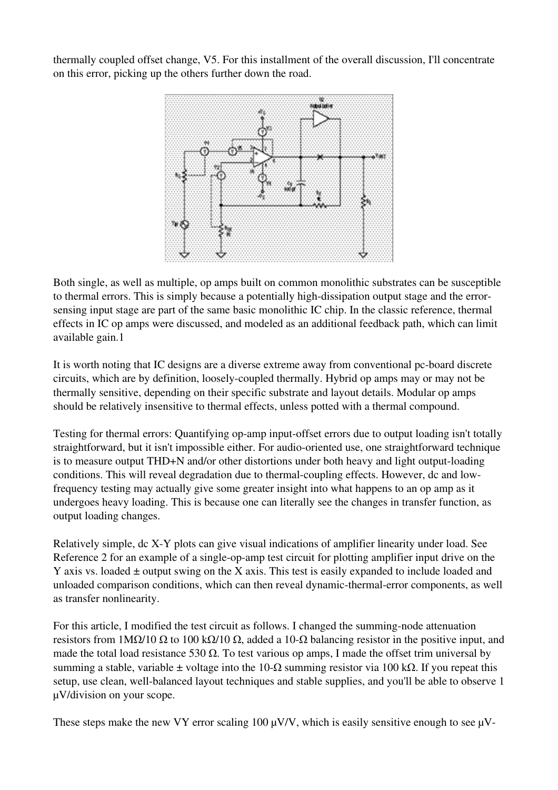thermally coupled offset change, V5. For this installment of the overall discussion, I'll concentrate on this error, picking up the others further down the road.



Both single, as well as multiple, op amps built on common monolithic substrates can be susceptible to thermal errors. This is simply because a potentially high-dissipation output stage and the errorsensing input stage are part of the same basic monolithic IC chip. In the classic reference, thermal effects in IC op amps were discussed, and modeled as an additional feedback path, which can limit available gain.1

It is worth noting that IC designs are a diverse extreme away from conventional pc-board discrete circuits, which are by definition, loosely-coupled thermally. Hybrid op amps may or may not be thermally sensitive, depending on their specific substrate and layout details. Modular op amps should be relatively insensitive to thermal effects, unless potted with a thermal compound.

Testing for thermal errors: Quantifying op-amp input-offset errors due to output loading isn't totally straightforward, but it isn't impossible either. For audio-oriented use, one straightforward technique is to measure output THD+N and/or other distortions under both heavy and light output-loading conditions. This will reveal degradation due to thermal-coupling effects. However, dc and lowfrequency testing may actually give some greater insight into what happens to an op amp as it undergoes heavy loading. This is because one can literally see the changes in transfer function, as output loading changes.

Relatively simple, dc X-Y plots can give visual indications of amplifier linearity under load. See Reference 2 for an example of a single-op-amp test circuit for plotting amplifier input drive on the Y axis vs. loaded  $\pm$  output swing on the X axis. This test is easily expanded to include loaded and unloaded comparison conditions, which can then reveal dynamic-thermal-error components, as well as transfer nonlinearity.

For this article, I modified the test circuit as follows. I changed the summing-node attenuation resistors from  $1MΩ/10 Ω$  to  $100 kΩ/10 Ω$ , added a  $10-Ω$  balancing resistor in the positive input, and made the total load resistance 530  $\Omega$ . To test various op amps, I made the offset trim universal by summing a stable, variable ± voltage into the 10- $\Omega$  summing resistor via 100 k $\Omega$ . If you repeat this setup, use clean, well-balanced layout techniques and stable supplies, and you'll be able to observe 1 µV/division on your scope.

These steps make the new VY error scaling 100  $\mu$ V/V, which is easily sensitive enough to see  $\mu$ V-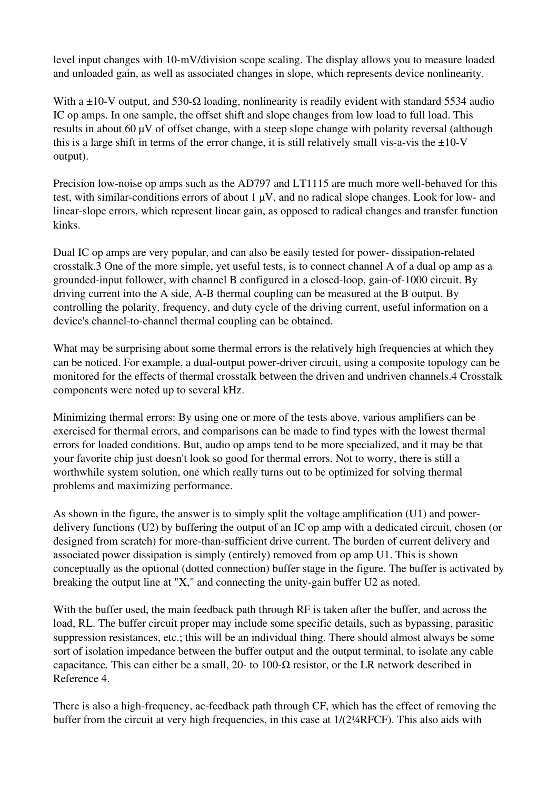level input changes with 10-mV/division scope scaling. The display allows you to measure loaded and unloaded gain, as well as associated changes in slope, which represents device nonlinearity.

With a  $\pm 10$ -V output, and 530- $\Omega$  loading, nonlinearity is readily evident with standard 5534 audio IC op amps. In one sample, the offset shift and slope changes from low load to full load. This results in about 60 µV of offset change, with a steep slope change with polarity reversal (although this is a large shift in terms of the error change, it is still relatively small vis-a-vis the  $\pm 10$ -V output).

Precision low-noise op amps such as the AD797 and LT1115 are much more well-behaved for this test, with similar-conditions errors of about  $1 \mu V$ , and no radical slope changes. Look for low- and linear-slope errors, which represent linear gain, as opposed to radical changes and transfer function kinks.

Dual IC op amps are very popular, and can also be easily tested for power-dissipation-related crosstalk.3 One of the more simple, yet useful tests, is to connect channel A of a dual op amp as a grounded-input follower, with channel B configured in a closed-loop, gain-of-1000 circuit. By driving current into the A side, A-B thermal coupling can be measured at the B output. By controlling the polarity, frequency, and duty cycle of the driving current, useful information on a device's channel-to-channel thermal coupling can be obtained.

What may be surprising about some thermal errors is the relatively high frequencies at which they can be noticed. For example, a dual-output power-driver circuit, using a composite topology can be monitored for the effects of thermal crosstalk between the driven and undriven channels.4 Crosstalk components were noted up to several kHz.

Minimizing thermal errors: By using one or more of the tests above, various amplifiers can be exercised for thermal errors, and comparisons can be made to find types with the lowest thermal errors for loaded conditions. But, audio op amps tend to be more specialized, and it may be that your favorite chip just doesn't look so good for thermal errors. Not to worry, there is still a worthwhile system solution, one which really turns out to be optimized for solving thermal problems and maximizing performance.

As shown in the figure, the answer is to simply split the voltage amplification (U1) and powerdelivery functions (U2) by buffering the output of an IC op amp with a dedicated circuit, chosen (or designed from scratch) for more-than-sufficient drive current. The burden of current delivery and associated power dissipation is simply (entirely) removed from op amp U1. This is shown conceptually as the optional (dotted connection) buffer stage in the figure. The buffer is activated by breaking the output line at "X," and connecting the unity-gain buffer  $U2$  as noted.

With the buffer used, the main feedback path through RF is taken after the buffer, and across the load, RL. The buffer circuit proper may include some specific details, such as bypassing, parasitic suppression resistances, etc.; this will be an individual thing. There should almost always be some sort of isolation impedance between the buffer output and the output terminal, to isolate any cable capacitance. This can either be a small, 20- to 100- $\Omega$  resistor, or the LR network described in Reference 4.

There is also a high-frequency, ac-feedback path through CF, which has the effect of removing the buffer from the circuit at very high frequencies, in this case at 1/(2¼RFCF). This also aids with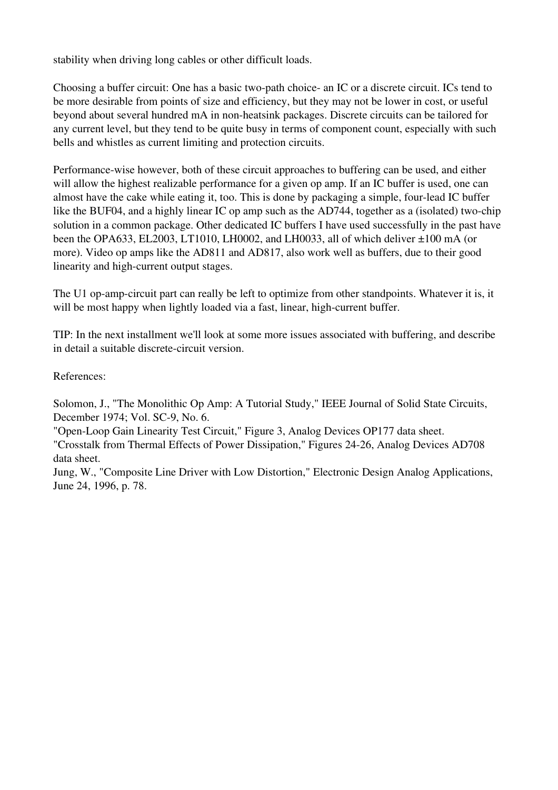stability when driving long cables or other difficult loads.

Choosing a buffer circuit: One has a basic two-path choice- an IC or a discrete circuit. ICs tend to be more desirable from points of size and efficiency, but they may not be lower in cost, or useful beyond about several hundred mA in non-heatsink packages. Discrete circuits can be tailored for any current level, but they tend to be quite busy in terms of component count, especially with such bells and whistles as current limiting and protection circuits.

Performance-wise however, both of these circuit approaches to buffering can be used, and either will allow the highest realizable performance for a given op amp. If an IC buffer is used, one can almost have the cake while eating it, too. This is done by packaging a simple, four-lead IC buffer like the BUF04, and a highly linear IC op amp such as the AD744, together as a (isolated) two-chip solution in a common package. Other dedicated IC buffers I have used successfully in the past have been the OPA633, EL2003, LT1010, LH0002, and LH0033, all of which deliver  $\pm 100$  mA (or more). Video op amps like the AD811 and AD817, also work well as buffers, due to their good linearity and high-current output stages.

The U1 op-amp-circuit part can really be left to optimize from other standpoints. Whatever it is, it will be most happy when lightly loaded via a fast, linear, high-current buffer.

TIP: In the next installment we'll look at some more issues associated with buffering, and describe in detail a suitable discrete-circuit version.

References:

Solomon, J., "The Monolithic Op Amp: A Tutorial Study," IEEE Journal of Solid State Circuits, December 1974; Vol. SC-9, No. 6.

"OpenLoop Gain Linearity Test Circuit," Figure 3, Analog Devices OP177 data sheet.

"Crosstalk from Thermal Effects of Power Dissipation," Figures 24-26, Analog Devices AD708 data sheet.

Jung, W., "Composite Line Driver with Low Distortion," Electronic Design Analog Applications, June 24, 1996, p. 78.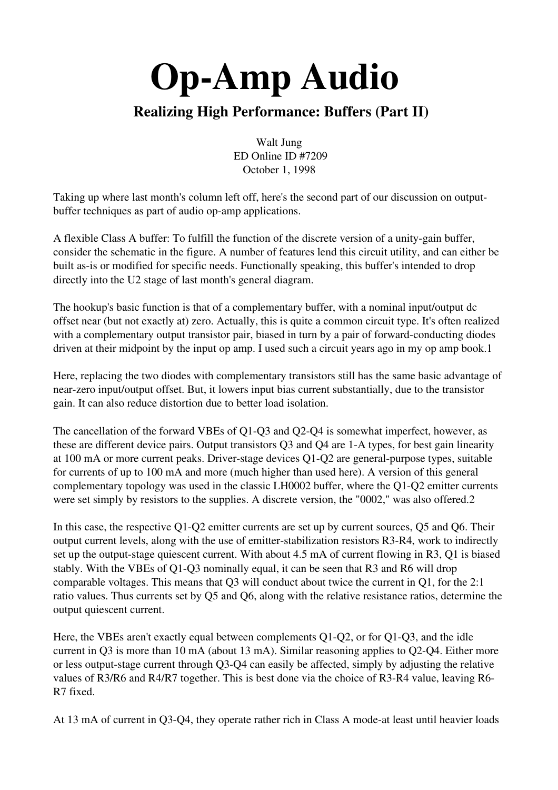## Realizing High Performance: Buffers (Part II)

Walt Jung ED Online ID #7209 October 1, 1998

Taking up where last month's column left off, here's the second part of our discussion on outputbuffer techniques as part of audio op-amp applications.

A flexible Class A buffer: To fulfill the function of the discrete version of a unity-gain buffer, consider the schematic in the figure. A number of features lend this circuit utility, and can either be built as-is or modified for specific needs. Functionally speaking, this buffer's intended to drop directly into the U2 stage of last month's general diagram.

The hookup's basic function is that of a complementary buffer, with a nominal input/output dc offset near (but not exactly at) zero. Actually, this is quite a common circuit type. It's often realized with a complementary output transistor pair, biased in turn by a pair of forward-conducting diodes driven at their midpoint by the input op amp. I used such a circuit years ago in my op amp book.1

Here, replacing the two diodes with complementary transistors still has the same basic advantage of near-zero input/output offset. But, it lowers input bias current substantially, due to the transistor gain. It can also reduce distortion due to better load isolation.

The cancellation of the forward VBEs of Q1-Q3 and Q2-Q4 is somewhat imperfect, however, as these are different device pairs. Output transistors Q3 and Q4 are 1-A types, for best gain linearity at  $100 \text{ mA}$  or more current peaks. Driver-stage devices  $O1-O2$  are general-purpose types, suitable for currents of up to 100 mA and more (much higher than used here). A version of this general complementary topology was used in the classic LH0002 buffer, where the Q1-Q2 emitter currents were set simply by resistors to the supplies. A discrete version, the "0002," was also offered.2

In this case, the respective  $Q1-Q2$  emitter currents are set up by current sources,  $Q5$  and  $Q6$ . Their output current levels, along with the use of emitter-stabilization resistors R3-R4, work to indirectly set up the output-stage quiescent current. With about  $4.5 \text{ mA}$  of current flowing in R3, Q1 is biased stably. With the VBEs of Q1-Q3 nominally equal, it can be seen that R3 and R6 will drop comparable voltages. This means that Q3 will conduct about twice the current in Q1, for the 2:1 ratio values. Thus currents set by Q5 and Q6, along with the relative resistance ratios, determine the output quiescent current.

Here, the VBEs aren't exactly equal between complements  $Q1-Q2$ , or for  $Q1-Q3$ , and the idle current in Q3 is more than 10 mA (about 13 mA). Similar reasoning applies to Q2-Q4. Either more or less output-stage current through  $Q3-Q4$  can easily be affected, simply by adjusting the relative values of R3/R6 and R4/R7 together. This is best done via the choice of R3-R4 value, leaving R6-R7 fixed.

At 13 mA of current in Q3-Q4, they operate rather rich in Class A mode-at least until heavier loads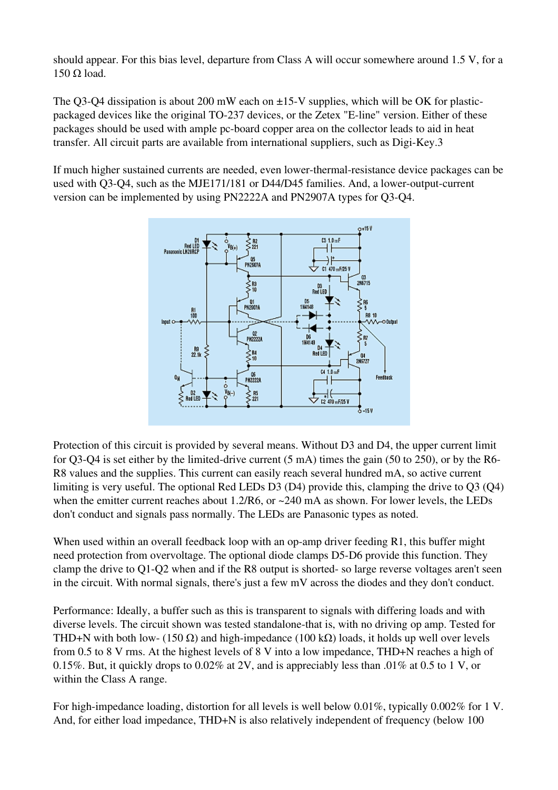should appear. For this bias level, departure from Class A will occur somewhere around 1.5 V, for a  $150$  Ω load.

The Q3-Q4 dissipation is about 200 mW each on  $\pm$ 15-V supplies, which will be OK for plasticpackaged devices like the original TO-237 devices, or the Zetex "E-line" version. Either of these packages should be used with ample pc-board copper area on the collector leads to aid in heat transfer. All circuit parts are available from international suppliers, such as Digi-Key.3

If much higher sustained currents are needed, even lower-thermal-resistance device packages can be used with  $O3-O4$ , such as the MJE171/181 or D44/D45 families. And, a lower-output-current version can be implemented by using PN2222A and PN2907A types for Q3-Q4.



Protection of this circuit is provided by several means. Without D3 and D4, the upper current limit for O3-O4 is set either by the limited-drive current  $(5 \text{ mA})$  times the gain  $(50 \text{ to } 250)$ , or by the R6-R8 values and the supplies. This current can easily reach several hundred mA, so active current limiting is very useful. The optional Red LEDs D3 (D4) provide this, clamping the drive to Q3 (Q4) when the emitter current reaches about 1.2/R6, or ~240 mA as shown. For lower levels, the LEDs don't conduct and signals pass normally. The LEDs are Panasonic types as noted.

When used within an overall feedback loop with an op-amp driver feeding  $R1$ , this buffer might need protection from overvoltage. The optional diode clamps D5-D6 provide this function. They clamp the drive to  $Q1-Q2$  when and if the R8 output is shorted-so large reverse voltages aren't seen in the circuit. With normal signals, there's just a few mV across the diodes and they don't conduct.

Performance: Ideally, a buffer such as this is transparent to signals with differing loads and with diverse levels. The circuit shown was tested standalone-that is, with no driving op amp. Tested for THD+N with both low- (150  $\Omega$ ) and high-impedance (100 k $\Omega$ ) loads, it holds up well over levels from 0.5 to 8 V rms. At the highest levels of 8 V into a low impedance, THD+N reaches a high of 0.15%. But, it quickly drops to 0.02% at 2V, and is appreciably less than .01% at 0.5 to 1 V, or within the Class A range.

For high-impedance loading, distortion for all levels is well below 0.01%, typically 0.002% for 1 V. And, for either load impedance, THD+N is also relatively independent of frequency (below 100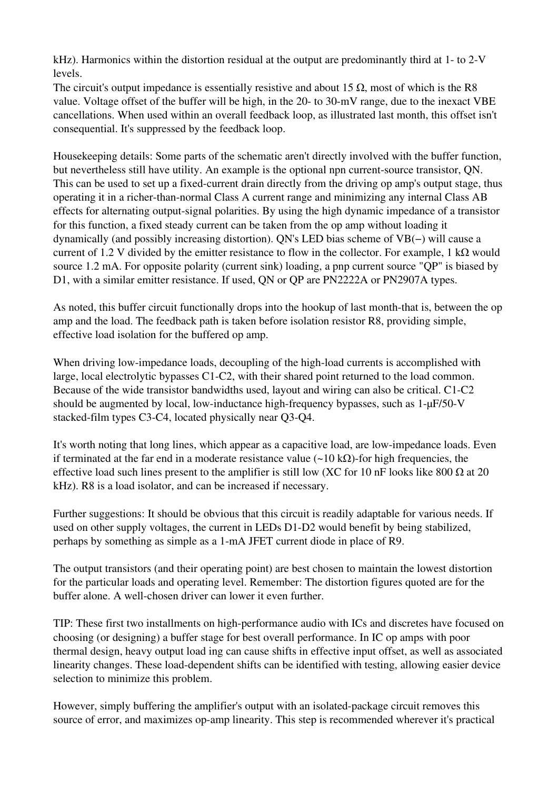$kHz$ ). Harmonics within the distortion residual at the output are predominantly third at 1- to 2-V levels.

The circuit's output impedance is essentially resistive and about 15  $\Omega$ , most of which is the R8 value. Voltage offset of the buffer will be high, in the 20- to 30-mV range, due to the inexact VBE cancellations. When used within an overall feedback loop, as illustrated last month, this offset isn't consequential. It's suppressed by the feedback loop.

Housekeeping details: Some parts of the schematic aren't directly involved with the buffer function, but nevertheless still have utility. An example is the optional npn current-source transistor, ON. This can be used to set up a fixed-current drain directly from the driving op amp's output stage, thus operating it in a richer-than-normal Class A current range and minimizing any internal Class AB effects for alternating output-signal polarities. By using the high dynamic impedance of a transistor for this function, a fixed steady current can be taken from the op amp without loading it dynamically (and possibly increasing distortion). QN's LED bias scheme of VB(−) will cause a current of 1.2 V divided by the emitter resistance to flow in the collector. For example, 1 k $\Omega$  would source 1.2 mA. For opposite polarity (current sink) loading, a pnp current source "QP" is biased by D1, with a similar emitter resistance. If used, QN or QP are PN2222A or PN2907A types.

As noted, this buffer circuit functionally drops into the hookup of last month-that is, between the op amp and the load. The feedback path is taken before isolation resistor R8, providing simple, effective load isolation for the buffered op amp.

When driving low-impedance loads, decoupling of the high-load currents is accomplished with large, local electrolytic bypasses  $C1-C2$ , with their shared point returned to the load common. Because of the wide transistor bandwidths used, layout and wiring can also be critical. C1-C2 should be augmented by local, low-inductance high-frequency bypasses, such as  $1-\mu$ F/50-V stacked-film types C3-C4, located physically near Q3-Q4.

It's worth noting that long lines, which appear as a capacitive load, are lowimpedance loads. Even if terminated at the far end in a moderate resistance value  $\left(\sim 10 \text{ k}\Omega\right)$ -for high frequencies, the effective load such lines present to the amplifier is still low (XC for 10 nF looks like 800  $\Omega$  at 20 kHz). R8 is a load isolator, and can be increased if necessary.

Further suggestions: It should be obvious that this circuit is readily adaptable for various needs. If used on other supply voltages, the current in LEDs D1-D2 would benefit by being stabilized, perhaps by something as simple as a 1-mA JFET current diode in place of R9.

The output transistors (and their operating point) are best chosen to maintain the lowest distortion for the particular loads and operating level. Remember: The distortion figures quoted are for the buffer alone. A well-chosen driver can lower it even further.

TIP: These first two installments on high-performance audio with ICs and discretes have focused on choosing (or designing) a buffer stage for best overall performance. In IC op amps with poor thermal design, heavy output load ing can cause shifts in effective input offset, as well as associated linearity changes. These load-dependent shifts can be identified with testing, allowing easier device selection to minimize this problem.

However, simply buffering the amplifier's output with an isolated-package circuit removes this source of error, and maximizes op-amp linearity. This step is recommended wherever it's practical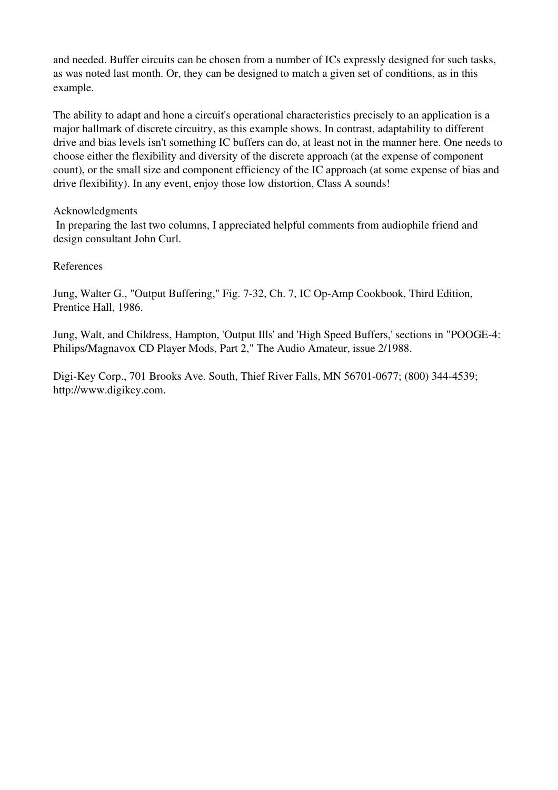and needed. Buffer circuits can be chosen from a number of ICs expressly designed for such tasks, as was noted last month. Or, they can be designed to match a given set of conditions, as in this example.

The ability to adapt and hone a circuit's operational characteristics precisely to an application is a major hallmark of discrete circuitry, as this example shows. In contrast, adaptability to different drive and bias levels isn't something IC buffers can do, at least not in the manner here. One needs to choose either the flexibility and diversity of the discrete approach (at the expense of component count), or the small size and component efficiency of the IC approach (at some expense of bias and drive flexibility). In any event, enjoy those low distortion, Class A sounds!

#### Acknowledgments

In preparing the last two columns, I appreciated helpful comments from audiophile friend and design consultant John Curl.

#### References

Jung, Walter G., "Output Buffering," Fig. 7-32, Ch. 7, IC Op-Amp Cookbook, Third Edition, Prentice Hall, 1986.

Jung, Walt, and Childress, Hampton, 'Output Ills' and 'High Speed Buffers,' sections in "POOGE4: Philips/Magnavox CD Player Mods, Part 2," The Audio Amateur, issue 2/1988.

Digi-Key Corp., 701 Brooks Ave. South, Thief River Falls, MN 56701-0677;  $(800)$  344-4539; http://www.digikey.com.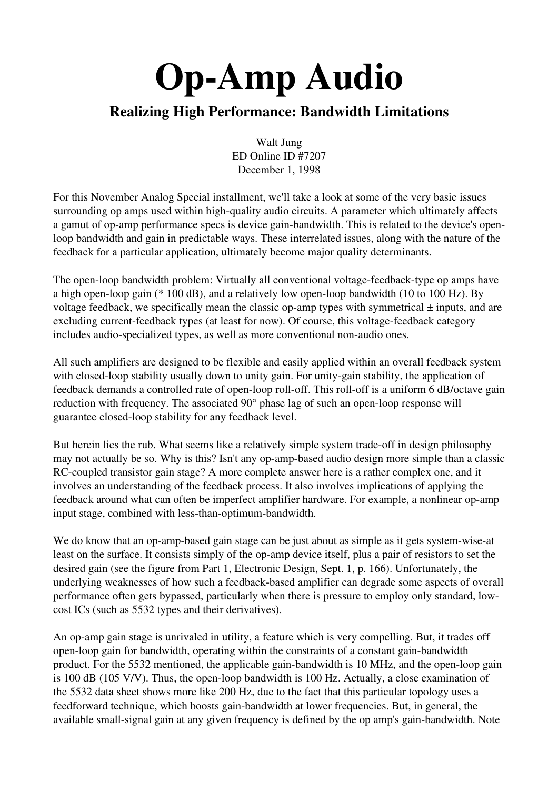#### Realizing High Performance: Bandwidth Limitations

Walt Jung ED Online ID #7207 December 1, 1998

For this November Analog Special installment, we'll take a look at some of the very basic issues surrounding op amps used within high-quality audio circuits. A parameter which ultimately affects a gamut of op-amp performance specs is device gain-bandwidth. This is related to the device's openloop bandwidth and gain in predictable ways. These interrelated issues, along with the nature of the feedback for a particular application, ultimately become major quality determinants.

The open-loop bandwidth problem: Virtually all conventional voltage-feedback-type op amps have a high open-loop gain (\* 100 dB), and a relatively low open-loop bandwidth (10 to 100 Hz). By voltage feedback, we specifically mean the classic op-amp types with symmetrical  $\pm$  inputs, and are excluding current-feedback types (at least for now). Of course, this voltage-feedback category includes audio-specialized types, as well as more conventional non-audio ones.

All such amplifiers are designed to be flexible and easily applied within an overall feedback system with closed-loop stability usually down to unity gain. For unity-gain stability, the application of feedback demands a controlled rate of open-loop roll-off. This roll-off is a uniform 6 dB/octave gain reduction with frequency. The associated  $90^\circ$  phase lag of such an open-loop response will guarantee closed-loop stability for any feedback level.

But herein lies the rub. What seems like a relatively simple system trade-off in design philosophy may not actually be so. Why is this? Isn't any op-amp-based audio design more simple than a classic RC-coupled transistor gain stage? A more complete answer here is a rather complex one, and it involves an understanding of the feedback process. It also involves implications of applying the feedback around what can often be imperfect amplifier hardware. For example, a nonlinear op-amp input stage, combined with less-than-optimum-bandwidth.

We do know that an op-amp-based gain stage can be just about as simple as it gets system-wise-at least on the surface. It consists simply of the op-amp device itself, plus a pair of resistors to set the desired gain (see the figure from Part 1, Electronic Design, Sept. 1, p. 166). Unfortunately, the underlying weaknesses of how such a feedback-based amplifier can degrade some aspects of overall performance often gets bypassed, particularly when there is pressure to employ only standard, lowcost ICs (such as 5532 types and their derivatives).

An op-amp gain stage is unrivaled in utility, a feature which is very compelling. But, it trades off open-loop gain for bandwidth, operating within the constraints of a constant gain-bandwidth product. For the 5532 mentioned, the applicable gain-bandwidth is 10 MHz, and the open-loop gain is 100 dB (105 V/V). Thus, the open-loop bandwidth is 100 Hz. Actually, a close examination of the 5532 data sheet shows more like 200 Hz, due to the fact that this particular topology uses a feedforward technique, which boosts gain-bandwidth at lower frequencies. But, in general, the available small-signal gain at any given frequency is defined by the op amp's gain-bandwidth. Note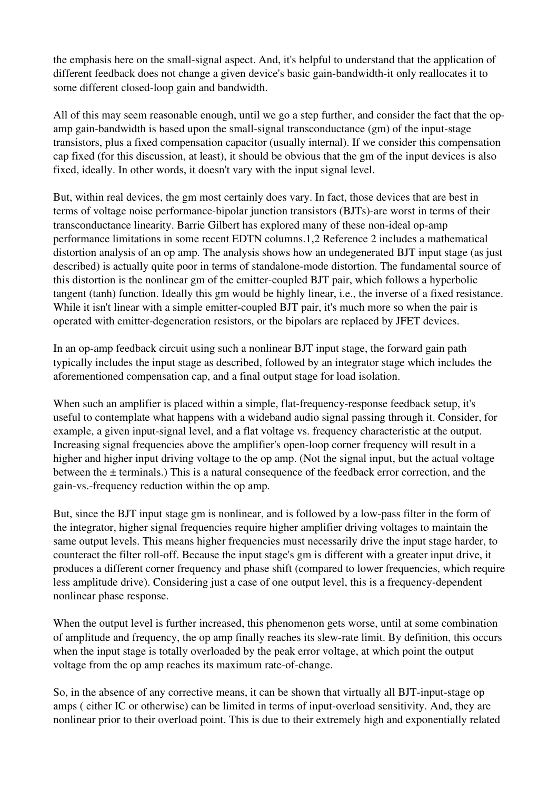the emphasis here on the small-signal aspect. And, it's helpful to understand that the application of different feedback does not change a given device's basic gain-bandwidth-it only reallocates it to some different closed-loop gain and bandwidth.

All of this may seem reasonable enough, until we go a step further, and consider the fact that the opamp gain-bandwidth is based upon the small-signal transconductance  $(g_m)$  of the input-stage transistors, plus a fixed compensation capacitor (usually internal). If we consider this compensation cap fixed (for this discussion, at least), it should be obvious that the gm of the input devices is also fixed, ideally. In other words, it doesn't vary with the input signal level.

But, within real devices, the gm most certainly does vary. In fact, those devices that are best in terms of voltage noise performance-bipolar junction transistors (BJTs)-are worst in terms of their transconductance linearity. Barrie Gilbert has explored many of these non-ideal op-amp performance limitations in some recent EDTN columns.1,2 Reference 2 includes a mathematical distortion analysis of an op amp. The analysis shows how an undegenerated BJT input stage (as just described) is actually quite poor in terms of standalone-mode distortion. The fundamental source of this distortion is the nonlinear gm of the emitter-coupled BJT pair, which follows a hyperbolic tangent (tanh) function. Ideally this gm would be highly linear, i.e., the inverse of a fixed resistance. While it isn't linear with a simple emitter-coupled BJT pair, it's much more so when the pair is operated with emitter-degeneration resistors, or the bipolars are replaced by JFET devices.

In an op-amp feedback circuit using such a nonlinear BJT input stage, the forward gain path typically includes the input stage as described, followed by an integrator stage which includes the aforementioned compensation cap, and a final output stage for load isolation.

When such an amplifier is placed within a simple, flat-frequency-response feedback setup, it's useful to contemplate what happens with a wideband audio signal passing through it. Consider, for example, a given input-signal level, and a flat voltage vs. frequency characteristic at the output. Increasing signal frequencies above the amplifier's open-loop corner frequency will result in a higher and higher input driving voltage to the op amp. (Not the signal input, but the actual voltage between the ± terminals.) This is a natural consequence of the feedback error correction, and the gain-vs.-frequency reduction within the op amp.

But, since the BJT input stage gm is nonlinear, and is followed by a low-pass filter in the form of the integrator, higher signal frequencies require higher amplifier driving voltages to maintain the same output levels. This means higher frequencies must necessarily drive the input stage harder, to counteract the filter roll-off. Because the input stage's gm is different with a greater input drive, it produces a different corner frequency and phase shift (compared to lower frequencies, which require less amplitude drive). Considering just a case of one output level, this is a frequency-dependent nonlinear phase response.

When the output level is further increased, this phenomenon gets worse, until at some combination of amplitude and frequency, the op amp finally reaches its slewrate limit. By definition, this occurs when the input stage is totally overloaded by the peak error voltage, at which point the output voltage from the op amp reaches its maximum rate-of-change.

So, in the absence of any corrective means, it can be shown that virtually all BJT-input-stage op amps ( either IC or otherwise) can be limited in terms of input-overload sensitivity. And, they are nonlinear prior to their overload point. This is due to their extremely high and exponentially related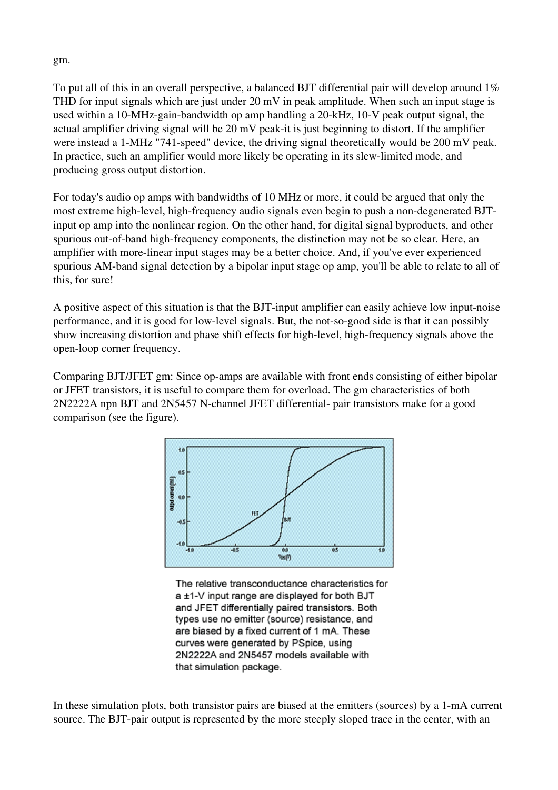gm.

To put all of this in an overall perspective, a balanced BJT differential pair will develop around 1% THD for input signals which are just under 20 mV in peak amplitude. When such an input stage is used within a 10-MHz-gain-bandwidth op amp handling a  $20$ -kHz, 10-V peak output signal, the actual amplifier driving signal will be 20 mV peak-it is just beginning to distort. If the amplifier were instead a 1-MHz "741-speed" device, the driving signal theoretically would be 200 mV peak. In practice, such an amplifier would more likely be operating in its slew-limited mode, and producing gross output distortion.

For today's audio op amps with bandwidths of 10 MHz or more, it could be argued that only the most extreme high-level, high-frequency audio signals even begin to push a non-degenerated BJTinput op amp into the nonlinear region. On the other hand, for digital signal byproducts, and other spurious out-of-band high-frequency components, the distinction may not be so clear. Here, an amplifier with more-linear input stages may be a better choice. And, if you've ever experienced spurious AM-band signal detection by a bipolar input stage op amp, you'll be able to relate to all of this, for sure!

A positive aspect of this situation is that the BJT-input amplifier can easily achieve low input-noise performance, and it is good for low-level signals. But, the not-so-good side is that it can possibly show increasing distortion and phase shift effects for high-level, high-frequency signals above the open-loop corner frequency.

Comparing BJT/JFET gm: Since op-amps are available with front ends consisting of either bipolar or JFET transistors, it is useful to compare them for overload. The gm characteristics of both 2N2222A npn BJT and 2N5457 N-channel JFET differential- pair transistors make for a good comparison (see the figure).



The relative transconductance characteristics for a ±1-V input range are displayed for both BJT and JFET differentially paired transistors. Both types use no emitter (source) resistance, and are biased by a fixed current of 1 mA. These curves were generated by PSpice, using 2N2222A and 2N5457 models available with that simulation package.

In these simulation plots, both transistor pairs are biased at the emitters (sources) by a 1-mA current source. The BJT-pair output is represented by the more steeply sloped trace in the center, with an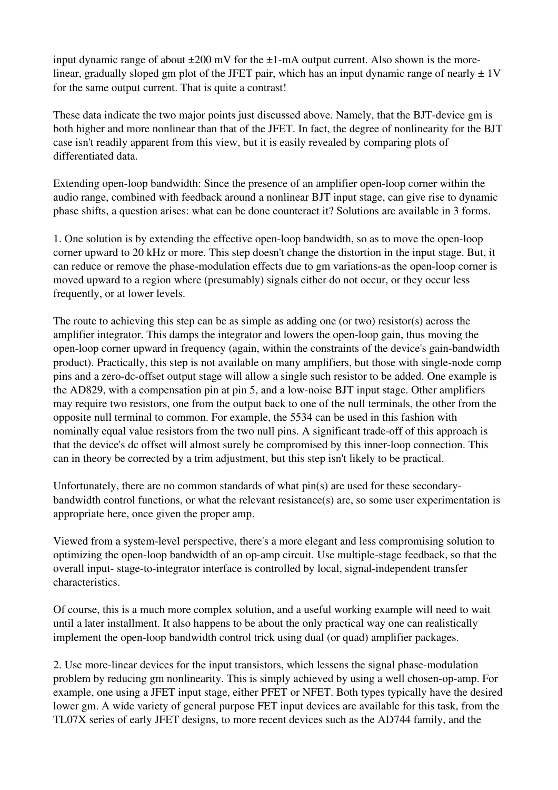input dynamic range of about  $\pm 200$  mV for the  $\pm 1$ -mA output current. Also shown is the morelinear, gradually sloped gm plot of the JFET pair, which has an input dynamic range of nearly  $\pm 1V$ for the same output current. That is quite a contrast!

These data indicate the two major points just discussed above. Namely, that the BJT-device gm is both higher and more nonlinear than that of the JFET. In fact, the degree of nonlinearity for the BJT case isn't readily apparent from this view, but it is easily revealed by comparing plots of differentiated data.

Extending open-loop bandwidth: Since the presence of an amplifier open-loop corner within the audio range, combined with feedback around a nonlinear BJT input stage, can give rise to dynamic phase shifts, a question arises: what can be done counteract it? Solutions are available in 3 forms.

1. One solution is by extending the effective open-loop bandwidth, so as to move the open-loop corner upward to 20 kHz or more. This step doesn't change the distortion in the input stage. But, it can reduce or remove the phase-modulation effects due to gm variations-as the open-loop corner is moved upward to a region where (presumably) signals either do not occur, or they occur less frequently, or at lower levels.

The route to achieving this step can be as simple as adding one (or two) resistor(s) across the amplifier integrator. This damps the integrator and lowers the open-loop gain, thus moving the open-loop corner upward in frequency (again, within the constraints of the device's gain-bandwidth product). Practically, this step is not available on many amplifiers, but those with single-node comp pins and a zero-dc-offset output stage will allow a single such resistor to be added. One example is the AD829, with a compensation pin at pin 5, and a low-noise BJT input stage. Other amplifiers may require two resistors, one from the output back to one of the null terminals, the other from the opposite null terminal to common. For example, the 5534 can be used in this fashion with nominally equal value resistors from the two null pins. A significant trade-off of this approach is that the device's dc offset will almost surely be compromised by this innerloop connection. This can in theory be corrected by a trim adjustment, but this step isn't likely to be practical.

Unfortunately, there are no common standards of what pin(s) are used for these secondarybandwidth control functions, or what the relevant resistance(s) are, so some user experimentation is appropriate here, once given the proper amp.

Viewed from a system-level perspective, there's a more elegant and less compromising solution to optimizing the open-loop bandwidth of an op-amp circuit. Use multiple-stage feedback, so that the overall input-stage-to-integrator interface is controlled by local, signal-independent transfer characteristics.

Of course, this is a much more complex solution, and a useful working example will need to wait until a later installment. It also happens to be about the only practical way one can realistically implement the open-loop bandwidth control trick using dual (or quad) amplifier packages.

2. Use more-linear devices for the input transistors, which lessens the signal phase-modulation problem by reducing gm nonlinearity. This is simply achieved by using a well chosen-op-amp. For example, one using a JFET input stage, either PFET or NFET. Both types typically have the desired lower gm. A wide variety of general purpose FET input devices are available for this task, from the TL07X series of early JFET designs, to more recent devices such as the AD744 family, and the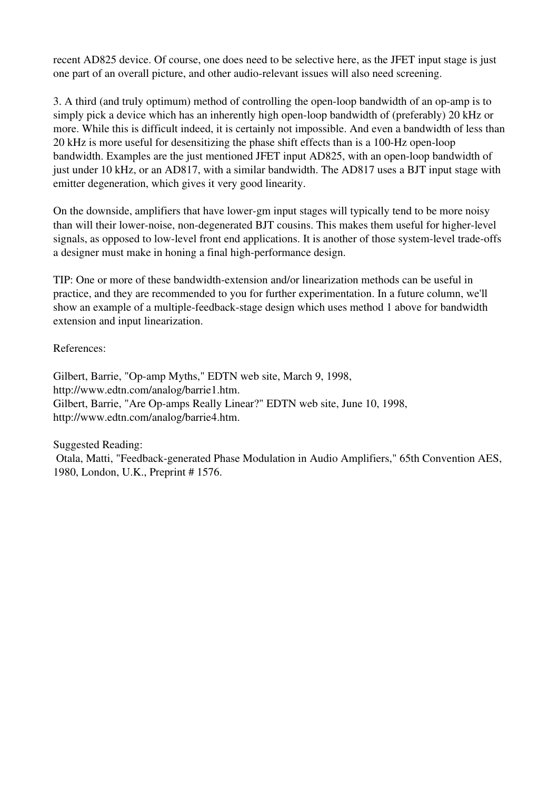recent AD825 device. Of course, one does need to be selective here, as the JFET input stage is just one part of an overall picture, and other audio-relevant issues will also need screening.

3. A third (and truly optimum) method of controlling the open-loop bandwidth of an op-amp is to simply pick a device which has an inherently high open-loop bandwidth of (preferably) 20 kHz or more. While this is difficult indeed, it is certainly not impossible. And even a bandwidth of less than 20 kHz is more useful for desensitizing the phase shift effects than is a 100-Hz open-loop bandwidth. Examples are the just mentioned JFET input AD825, with an open-loop bandwidth of just under 10 kHz, or an AD817, with a similar bandwidth. The AD817 uses a BJT input stage with emitter degeneration, which gives it very good linearity.

On the downside, amplifiers that have lower-gm input stages will typically tend to be more noisy than will their lower-noise, non-degenerated BJT cousins. This makes them useful for higher-level signals, as opposed to low-level front end applications. It is another of those system-level trade-offs a designer must make in honing a final high-performance design.

TIP: One or more of these bandwidthextension and/or linearization methods can be useful in practice, and they are recommended to you for further experimentation. In a future column, we'll show an example of a multiple-feedback-stage design which uses method 1 above for bandwidth extension and input linearization.

References:

Gilbert, Barrie, "Op-amp Myths," EDTN web site, March 9, 1998, http://www.edtn.com/analog/barrie1.htm. Gilbert, Barrie, "Are Op-amps Really Linear?" EDTN web site, June 10, 1998, http://www.edtn.com/analog/barrie4.htm.

Suggested Reading: Otala, Matti, "Feedback-generated Phase Modulation in Audio Amplifiers," 65th Convention AES, 1980, London, U.K., Preprint # 1576.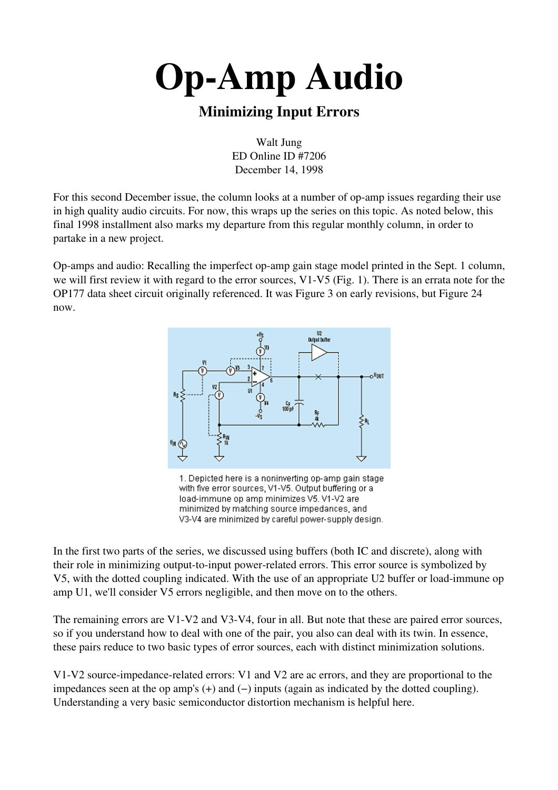## Minimizing Input Errors

Walt Jung ED Online ID #7206 December 14, 1998

For this second December issue, the column looks at a number of op-amp issues regarding their use in high quality audio circuits. For now, this wraps up the series on this topic. As noted below, this final 1998 installment also marks my departure from this regular monthly column, in order to partake in a new project.

Op-amps and audio: Recalling the imperfect op-amp gain stage model printed in the Sept. 1 column, we will first review it with regard to the error sources, V1-V5 (Fig. 1). There is an errata note for the OP177 data sheet circuit originally referenced. It was Figure 3 on early revisions, but Figure 24 now.



1. Depicted here is a noninverting op-amp gain stage with five error sources, V1-V5. Output buffering or a load-immune op amp minimizes V5. V1-V2 are minimized by matching source impedances, and V3-V4 are minimized by careful power-supply design.

In the first two parts of the series, we discussed using buffers (both IC and discrete), along with their role in minimizing output-to-input power-related errors. This error source is symbolized by V5, with the dotted coupling indicated. With the use of an appropriate U2 buffer or loadimmune op amp U1, we'll consider V5 errors negligible, and then move on to the others.

The remaining errors are  $V1-V2$  and  $V3-V4$ , four in all. But note that these are paired error sources, so if you understand how to deal with one of the pair, you also can deal with its twin. In essence, these pairs reduce to two basic types of error sources, each with distinct minimization solutions.

V1-V2 source-impedance-related errors: V1 and V2 are ac errors, and they are proportional to the impedances seen at the op amp's (+) and (−) inputs (again as indicated by the dotted coupling). Understanding a very basic semiconductor distortion mechanism is helpful here.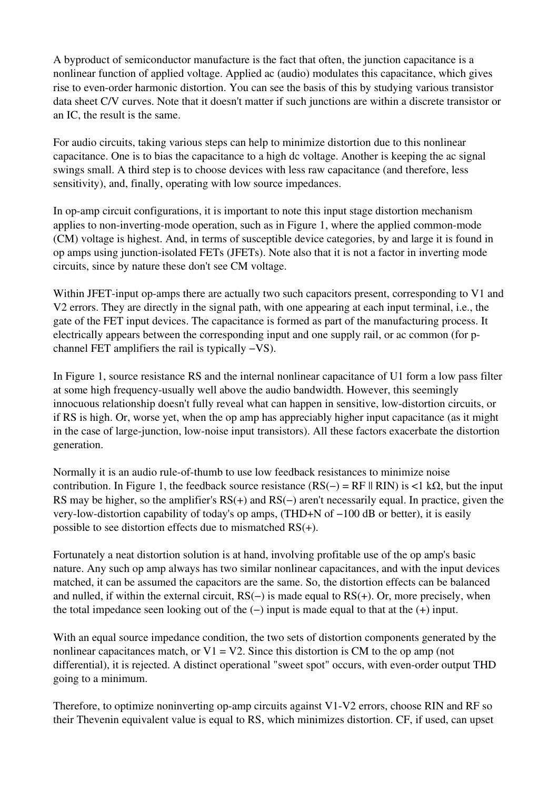A byproduct of semiconductor manufacture is the fact that often, the junction capacitance is a nonlinear function of applied voltage. Applied ac (audio) modulates this capacitance, which gives rise to even-order harmonic distortion. You can see the basis of this by studying various transistor data sheet C/V curves. Note that it doesn't matter if such junctions are within a discrete transistor or an IC, the result is the same.

For audio circuits, taking various steps can help to minimize distortion due to this nonlinear capacitance. One is to bias the capacitance to a high dc voltage. Another is keeping the ac signal swings small. A third step is to choose devices with less raw capacitance (and therefore, less sensitivity), and, finally, operating with low source impedances.

In op-amp circuit configurations, it is important to note this input stage distortion mechanism applies to non-inverting-mode operation, such as in Figure 1, where the applied common-mode (CM) voltage is highest. And, in terms of susceptible device categories, by and large it is found in op amps using junction-isolated FETs (JFETs). Note also that it is not a factor in inverting mode circuits, since by nature these don't see CM voltage.

Within JFET-input op-amps there are actually two such capacitors present, corresponding to V1 and V2 errors. They are directly in the signal path, with one appearing at each input terminal, i.e., the gate of the FET input devices. The capacitance is formed as part of the manufacturing process. It electrically appears between the corresponding input and one supply rail, or ac common (for pchannel FET amplifiers the rail is typically −VS).

In Figure 1, source resistance RS and the internal nonlinear capacitance of U1 form a low pass filter at some high frequency-usually well above the audio bandwidth. However, this seemingly innocuous relationship doesn't fully reveal what can happen in sensitive, low-distortion circuits, or if RS is high. Or, worse yet, when the op amp has appreciably higher input capacitance (as it might in the case of large-junction, low-noise input transistors). All these factors exacerbate the distortion generation.

Normally it is an audio rule-of-thumb to use low feedback resistances to minimize noise contribution. In Figure 1, the feedback source resistance  $(RS(-) = RF \parallel RIN)$  is <1 kΩ, but the input RS may be higher, so the amplifier's RS(+) and RS(−) aren't necessarily equal. In practice, given the very-low-distortion capability of today's op amps, (THD+N of −100 dB or better), it is easily possible to see distortion effects due to mismatched RS(+).

Fortunately a neat distortion solution is at hand, involving profitable use of the op amp's basic nature. Any such op amp always has two similar nonlinear capacitances, and with the input devices matched, it can be assumed the capacitors are the same. So, the distortion effects can be balanced and nulled, if within the external circuit, RS(−) is made equal to RS(+). Or, more precisely, when the total impedance seen looking out of the (−) input is made equal to that at the (+) input.

With an equal source impedance condition, the two sets of distortion components generated by the nonlinear capacitances match, or  $V1 = V2$ . Since this distortion is CM to the op amp (not differential), it is rejected. A distinct operational "sweet spot" occurs, with even-order output THD going to a minimum.

Therefore, to optimize noninverting op-amp circuits against  $V1-V2$  errors, choose RIN and RF so their Thevenin equivalent value is equal to RS, which minimizes distortion. CF, if used, can upset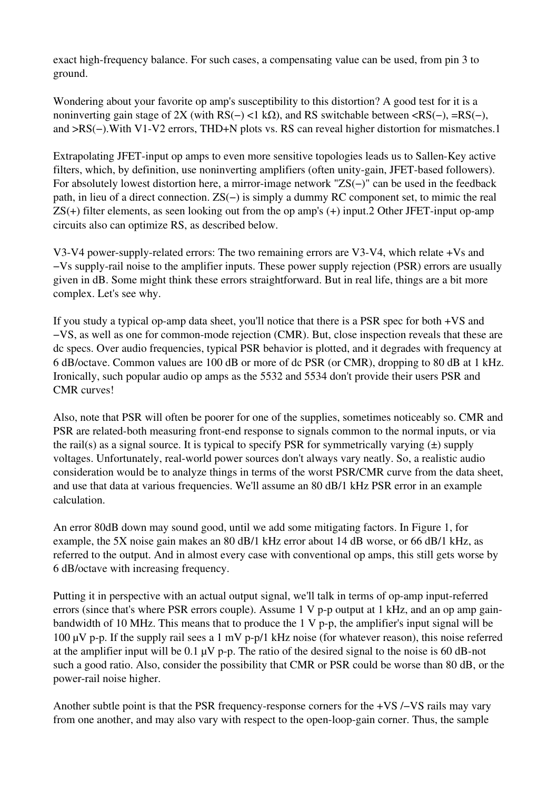exact high-frequency balance. For such cases, a compensating value can be used, from pin 3 to ground.

Wondering about your favorite op amp's susceptibility to this distortion? A good test for it is a noninverting gain stage of 2X (with RS(−) <1 kΩ), and RS switchable between <RS(−), =RS(−), and >RS(−). With V1-V2 errors, THD+N plots vs. RS can reveal higher distortion for mismatches. 1

Extrapolating JFET-input op amps to even more sensitive topologies leads us to Sallen-Key active filters, which, by definition, use noninverting amplifiers (often unity-gain, JFET-based followers). For absolutely lowest distortion here, a mirror-image network "ZS(−)" can be used in the feedback path, in lieu of a direct connection. ZS(−) is simply a dummy RC component set, to mimic the real  $\text{ZS}(+)$  filter elements, as seen looking out from the op amp's  $(+)$  input. 2 Other JFET-input op-amp circuits also can optimize RS, as described below.

V3-V4 power-supply-related errors: The two remaining errors are V3-V4, which relate  $+V_s$  and −Vs supplyrail noise to the amplifier inputs. These power supply rejection (PSR) errors are usually given in dB. Some might think these errors straightforward. But in real life, things are a bit more complex. Let's see why.

If you study a typical op-amp data sheet, you'll notice that there is a PSR spec for both  $+VS$  and −VS, as well as one for common-mode rejection (CMR). But, close inspection reveals that these are dc specs. Over audio frequencies, typical PSR behavior is plotted, and it degrades with frequency at 6 dB/octave. Common values are 100 dB or more of dc PSR (or CMR), dropping to 80 dB at 1 kHz. Ironically, such popular audio op amps as the 5532 and 5534 don't provide their users PSR and CMR curves!

Also, note that PSR will often be poorer for one of the supplies, sometimes noticeably so. CMR and PSR are related-both measuring front-end response to signals common to the normal inputs, or via the rail(s) as a signal source. It is typical to specify PSR for symmetrically varying  $(\pm)$  supply voltages. Unfortunately, real-world power sources don't always vary neatly. So, a realistic audio consideration would be to analyze things in terms of the worst PSR/CMR curve from the data sheet, and use that data at various frequencies. We'll assume an 80 dB/1 kHz PSR error in an example calculation.

An error 80dB down may sound good, until we add some mitigating factors. In Figure 1, for example, the 5X noise gain makes an 80 dB/1 kHz error about 14 dB worse, or 66 dB/1 kHz, as referred to the output. And in almost every case with conventional op amps, this still gets worse by 6 dB/octave with increasing frequency.

Putting it in perspective with an actual output signal, we'll talk in terms of op-amp input-referred errors (since that's where PSR errors couple). Assume  $1 \nabla p$ -p output at  $1 \nabla Hz$ , and an op amp gainbandwidth of 10 MHz. This means that to produce the  $1 \nabla p$ -p, the amplifier's input signal will be 100  $\mu$ V p-p. If the supply rail sees a 1 mV p-p/1 kHz noise (for whatever reason), this noise referred at the amplifier input will be 0.1  $\mu$ V p-p. The ratio of the desired signal to the noise is 60 dB-not such a good ratio. Also, consider the possibility that CMR or PSR could be worse than 80 dB, or the power-rail noise higher.

Another subtle point is that the PSR frequency-response corners for the +VS /−VS rails may vary from one another, and may also vary with respect to the open-loop-gain corner. Thus, the sample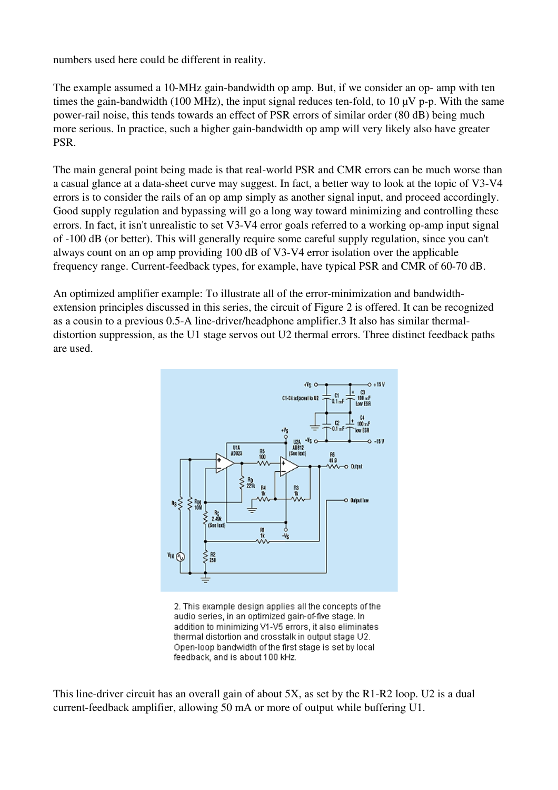numbers used here could be different in reality.

The example assumed a 10-MHz gain-bandwidth op amp. But, if we consider an op- amp with ten times the gain-bandwidth (100 MHz), the input signal reduces ten-fold, to 10  $\mu$ V p-p. With the same power-rail noise, this tends towards an effect of PSR errors of similar order (80 dB) being much more serious. In practice, such a higher gain-bandwidth op amp will very likely also have greater PSR.

The main general point being made is that real-world PSR and CMR errors can be much worse than a casual glance at a data-sheet curve may suggest. In fact, a better way to look at the topic of V3-V4 errors is to consider the rails of an op amp simply as another signal input, and proceed accordingly. Good supply regulation and bypassing will go a long way toward minimizing and controlling these errors. In fact, it isn't unrealistic to set V3-V4 error goals referred to a working op-amp input signal of 100 dB (or better). This will generally require some careful supply regulation, since you can't always count on an op amp providing  $100$  dB of V3-V4 error isolation over the applicable frequency range. Current-feedback types, for example, have typical PSR and CMR of 60-70 dB.

An optimized amplifier example: To illustrate all of the error-minimization and bandwidthextension principles discussed in this series, the circuit of Figure 2 is offered. It can be recognized as a cousin to a previous 0.5-A line-driver/headphone amplifier.3 It also has similar thermaldistortion suppression, as the U1 stage servos out U2 thermal errors. Three distinct feedback paths are used.



2. This example design applies all the concepts of the audio series, in an optimized gain-of-five stage. In addition to minimizing V1-V5 errors, it also eliminates thermal distortion and crosstalk in output stage U2. Open-loop bandwidth of the first stage is set by local feedback, and is about 100 kHz.

This line-driver circuit has an overall gain of about  $5X$ , as set by the R1-R2 loop. U2 is a dual current-feedback amplifier, allowing 50 mA or more of output while buffering U1.